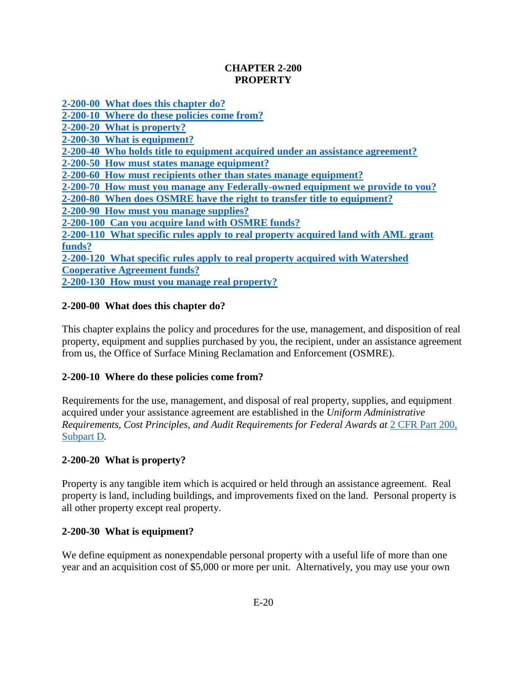## **CHAPTER 2-200 PROPERTY**

**[2-200-00 What does this chapter do?](#page-0-0)**

**[2-200-10 Where do these policies come from?](#page-0-1)**

**[2-200-20 What is property?](#page-0-2)**

**[2-200-30 What is equipment?](#page-0-3)**

**[2-200-40 Who holds title to equipment acquired under an assistance agreement?](#page-1-0)**

**[2-200-50 How must states manage equipment?](#page-1-1)**

**[2-200-60 How must recipients other than states manage equipment?](#page-1-2)**

**[2-200-70 How must you manage any Federally-owned equipment we provide to you?](#page-3-0)**

**[2-200-80 When does OSMRE have the right to transfer title to equipment?](#page-3-1)**

**[2-200-90 How must you manage supplies?](#page-4-0)**

**[2-200-100 Can you acquire land with OSMRE funds?](#page-4-1)**

**[2-200-110 What specific rules apply to real property acquired land with AML grant](#page-5-0) [funds?](#page-5-0)**

**[2-200-120 What specific rules apply to real property acquired with Watershed](#page-5-1) [Cooperative Agreement funds?](#page-5-1)**

**[2-200-130 How must you manage real property?](#page-6-0)**

# <span id="page-0-0"></span>**2-200-00 What does this chapter do?**

This chapter explains the policy and procedures for the use, management, and disposition of real property, equipment and supplies purchased by you, the recipient, under an assistance agreement from us, the Office of Surface Mining Reclamation and Enforcement (OSMRE).

# <span id="page-0-1"></span>**2-200-10 Where do these policies come from?**

Requirements for the use, management, and disposal of real property, supplies, and equipment acquired under your assistance agreement are established in the *Uniform Administrative Requirements, Cost Principles, and Audit Requirements for Federal Awards at 2 CFR Part 200,* [Subpart D](http://www.ecfr.gov/cgi-bin/text-idx?SID=a056b967ea6e9dcb3829cbe999d78a91&node=pt2.1.200&rgn=div5http://www.ecfr.gov/cgi-bin/text-idx?SID=a056b967ea6e9dcb3829cbe999d78a91&node=pt2.1.200&rgn=div5)*.*

## <span id="page-0-2"></span>**2-200-20 What is property?**

Property is any tangible item which is acquired or held through an assistance agreement. Real property is land, including buildings, and improvements fixed on the land. Personal property is all other property except real property.

## <span id="page-0-3"></span>**2-200-30 What is equipment?**

We define equipment as nonexpendable personal property with a useful life of more than one year and an acquisition cost of \$5,000 or more per unit. Alternatively, you may use your own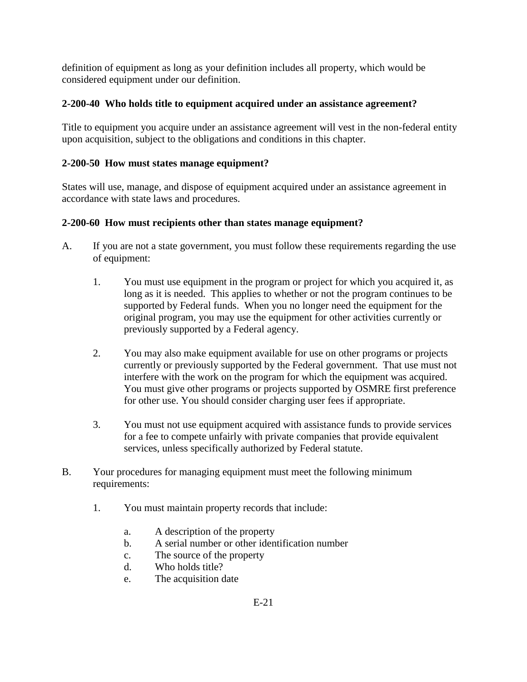definition of equipment as long as your definition includes all property, which would be considered equipment under our definition.

## <span id="page-1-0"></span>**2-200-40 Who holds title to equipment acquired under an assistance agreement?**

Title to equipment you acquire under an assistance agreement will vest in the non-federal entity upon acquisition, subject to the obligations and conditions in this chapter.

## <span id="page-1-1"></span>**2-200-50 How must states manage equipment?**

States will use, manage, and dispose of equipment acquired under an assistance agreement in accordance with state laws and procedures.

## <span id="page-1-2"></span>**2-200-60 How must recipients other than states manage equipment?**

- A. If you are not a state government, you must follow these requirements regarding the use of equipment:
	- 1. You must use equipment in the program or project for which you acquired it, as long as it is needed. This applies to whether or not the program continues to be supported by Federal funds. When you no longer need the equipment for the original program, you may use the equipment for other activities currently or previously supported by a Federal agency.
	- 2. You may also make equipment available for use on other programs or projects currently or previously supported by the Federal government. That use must not interfere with the work on the program for which the equipment was acquired. You must give other programs or projects supported by OSMRE first preference for other use. You should consider charging user fees if appropriate.
	- 3. You must not use equipment acquired with assistance funds to provide services for a fee to compete unfairly with private companies that provide equivalent services, unless specifically authorized by Federal statute.
- B. Your procedures for managing equipment must meet the following minimum requirements:
	- 1. You must maintain property records that include:
		- a. A description of the property
		- b. A serial number or other identification number
		- c. The source of the property
		- d. Who holds title?
		- e. The acquisition date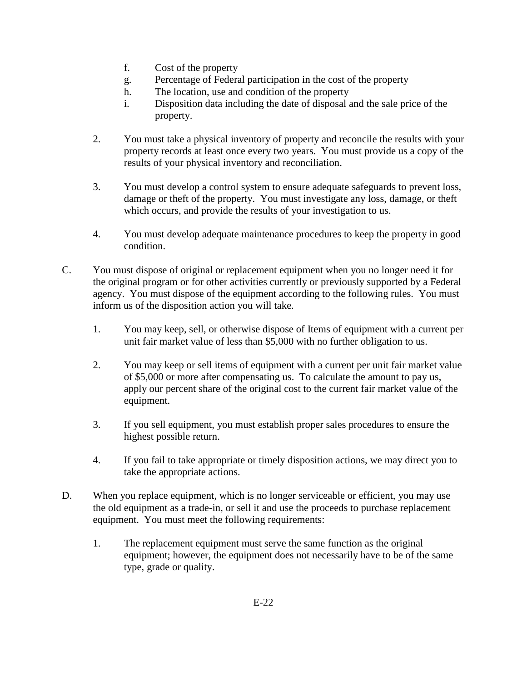- f. Cost of the property
- g. Percentage of Federal participation in the cost of the property
- h. The location, use and condition of the property
- i. Disposition data including the date of disposal and the sale price of the property.
- 2. You must take a physical inventory of property and reconcile the results with your property records at least once every two years. You must provide us a copy of the results of your physical inventory and reconciliation.
- 3. You must develop a control system to ensure adequate safeguards to prevent loss, damage or theft of the property. You must investigate any loss, damage, or theft which occurs, and provide the results of your investigation to us.
- 4. You must develop adequate maintenance procedures to keep the property in good condition.
- C. You must dispose of original or replacement equipment when you no longer need it for the original program or for other activities currently or previously supported by a Federal agency. You must dispose of the equipment according to the following rules. You must inform us of the disposition action you will take.
	- 1. You may keep, sell, or otherwise dispose of Items of equipment with a current per unit fair market value of less than \$5,000 with no further obligation to us.
	- 2. You may keep or sell items of equipment with a current per unit fair market value of \$5,000 or more after compensating us. To calculate the amount to pay us, apply our percent share of the original cost to the current fair market value of the equipment.
	- 3. If you sell equipment, you must establish proper sales procedures to ensure the highest possible return.
	- 4. If you fail to take appropriate or timely disposition actions, we may direct you to take the appropriate actions.
- D. When you replace equipment, which is no longer serviceable or efficient, you may use the old equipment as a trade-in, or sell it and use the proceeds to purchase replacement equipment. You must meet the following requirements:
	- 1. The replacement equipment must serve the same function as the original equipment; however, the equipment does not necessarily have to be of the same type, grade or quality.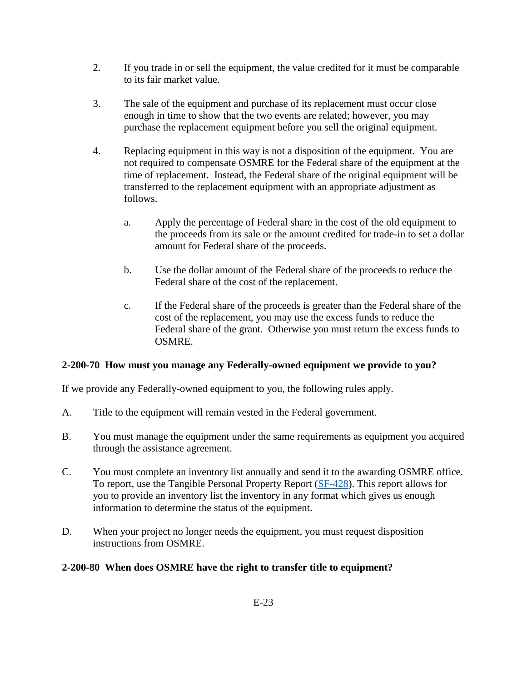- 2. If you trade in or sell the equipment, the value credited for it must be comparable to its fair market value.
- 3. The sale of the equipment and purchase of its replacement must occur close enough in time to show that the two events are related; however, you may purchase the replacement equipment before you sell the original equipment.
- 4. Replacing equipment in this way is not a disposition of the equipment. You are not required to compensate OSMRE for the Federal share of the equipment at the time of replacement. Instead, the Federal share of the original equipment will be transferred to the replacement equipment with an appropriate adjustment as follows.
	- a. Apply the percentage of Federal share in the cost of the old equipment to the proceeds from its sale or the amount credited for trade-in to set a dollar amount for Federal share of the proceeds.
	- b. Use the dollar amount of the Federal share of the proceeds to reduce the Federal share of the cost of the replacement.
	- c. If the Federal share of the proceeds is greater than the Federal share of the cost of the replacement, you may use the excess funds to reduce the Federal share of the grant. Otherwise you must return the excess funds to OSMRE.

# <span id="page-3-0"></span>**2-200-70 How must you manage any Federally-owned equipment we provide to you?**

If we provide any Federally-owned equipment to you, the following rules apply.

- A. Title to the equipment will remain vested in the Federal government.
- B. You must manage the equipment under the same requirements as equipment you acquired through the assistance agreement.
- C. You must complete an inventory list annually and send it to the awarding OSMRE office. To report, use the Tangible Personal Property Report [\(SF-428\)](https://www.whitehouse.gov/omb/grants_forms/). This report allows for you to provide an inventory list the inventory in any format which gives us enough information to determine the status of the equipment.
- D. When your project no longer needs the equipment, you must request disposition instructions from OSMRE.

# <span id="page-3-1"></span>**2-200-80 When does OSMRE have the right to transfer title to equipment?**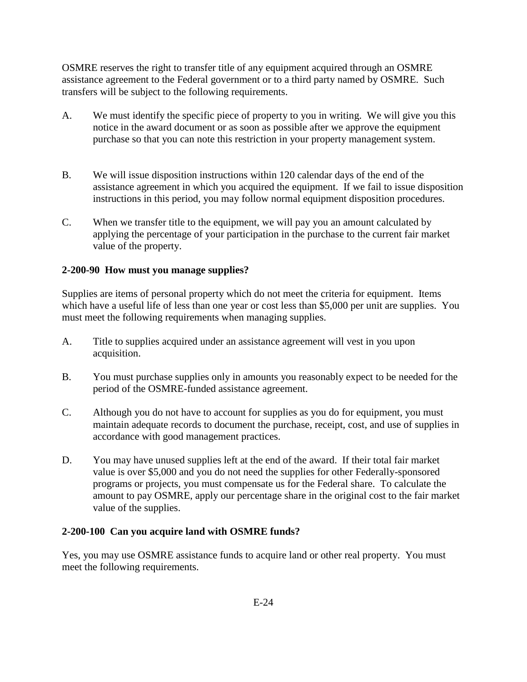OSMRE reserves the right to transfer title of any equipment acquired through an OSMRE assistance agreement to the Federal government or to a third party named by OSMRE. Such transfers will be subject to the following requirements.

- A. We must identify the specific piece of property to you in writing. We will give you this notice in the award document or as soon as possible after we approve the equipment purchase so that you can note this restriction in your property management system.
- B. We will issue disposition instructions within 120 calendar days of the end of the assistance agreement in which you acquired the equipment. If we fail to issue disposition instructions in this period, you may follow normal equipment disposition procedures.
- C. When we transfer title to the equipment, we will pay you an amount calculated by applying the percentage of your participation in the purchase to the current fair market value of the property.

## <span id="page-4-0"></span>**2-200-90 How must you manage supplies?**

Supplies are items of personal property which do not meet the criteria for equipment. Items which have a useful life of less than one year or cost less than \$5,000 per unit are supplies. You must meet the following requirements when managing supplies.

- A. Title to supplies acquired under an assistance agreement will vest in you upon acquisition.
- B. You must purchase supplies only in amounts you reasonably expect to be needed for the period of the OSMRE-funded assistance agreement.
- C. Although you do not have to account for supplies as you do for equipment, you must maintain adequate records to document the purchase, receipt, cost, and use of supplies in accordance with good management practices.
- D. You may have unused supplies left at the end of the award. If their total fair market value is over \$5,000 and you do not need the supplies for other Federally-sponsored programs or projects, you must compensate us for the Federal share. To calculate the amount to pay OSMRE, apply our percentage share in the original cost to the fair market value of the supplies.

#### <span id="page-4-1"></span>**2-200-100 Can you acquire land with OSMRE funds?**

Yes, you may use OSMRE assistance funds to acquire land or other real property. You must meet the following requirements.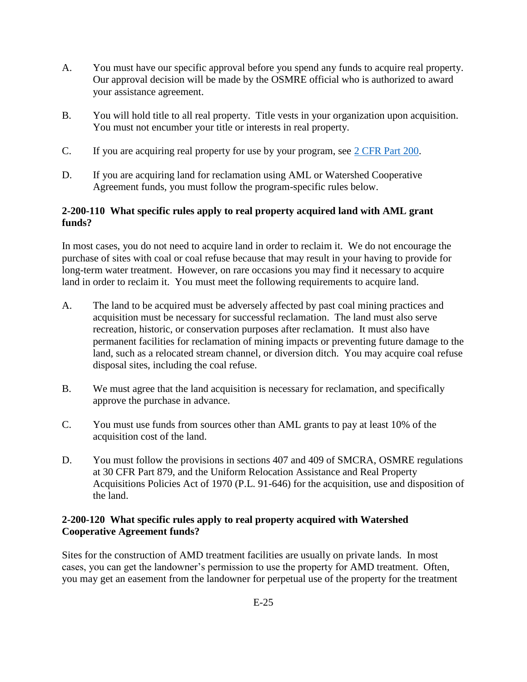- A. You must have our specific approval before you spend any funds to acquire real property. Our approval decision will be made by the OSMRE official who is authorized to award your assistance agreement.
- B. You will hold title to all real property. Title vests in your organization upon acquisition. You must not encumber your title or interests in real property.
- C. If you are acquiring real property for use by your program, see [2 CFR Part 200.](http://www.ecfr.gov/cgi-bin/text-idx?SID=a056b967ea6e9dcb3829cbe999d78a91&node=pt2.1.200&rgn=div5)
- D. If you are acquiring land for reclamation using AML or Watershed Cooperative Agreement funds, you must follow the program-specific rules below.

## <span id="page-5-0"></span>**2-200-110 What specific rules apply to real property acquired land with AML grant funds?**

In most cases, you do not need to acquire land in order to reclaim it. We do not encourage the purchase of sites with coal or coal refuse because that may result in your having to provide for long-term water treatment. However, on rare occasions you may find it necessary to acquire land in order to reclaim it. You must meet the following requirements to acquire land.

- A. The land to be acquired must be adversely affected by past coal mining practices and acquisition must be necessary for successful reclamation. The land must also serve recreation, historic, or conservation purposes after reclamation. It must also have permanent facilities for reclamation of mining impacts or preventing future damage to the land, such as a relocated stream channel, or diversion ditch. You may acquire coal refuse disposal sites, including the coal refuse.
- B. We must agree that the land acquisition is necessary for reclamation, and specifically approve the purchase in advance.
- C. You must use funds from sources other than AML grants to pay at least 10% of the acquisition cost of the land.
- D. You must follow the provisions in sections 407 and 409 of SMCRA, OSMRE regulations at 30 CFR Part 879, and the Uniform Relocation Assistance and Real Property Acquisitions Policies Act of 1970 (P.L. 91-646) for the acquisition, use and disposition of the land.

## <span id="page-5-1"></span>**2-200-120 What specific rules apply to real property acquired with Watershed Cooperative Agreement funds?**

Sites for the construction of AMD treatment facilities are usually on private lands. In most cases, you can get the landowner's permission to use the property for AMD treatment. Often, you may get an easement from the landowner for perpetual use of the property for the treatment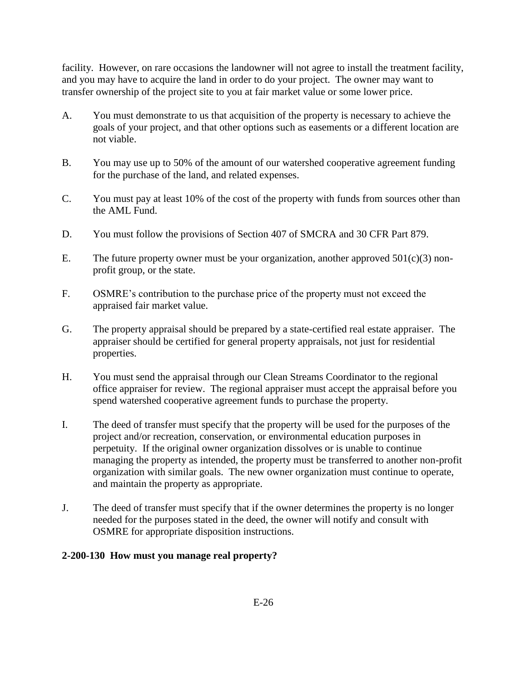facility. However, on rare occasions the landowner will not agree to install the treatment facility, and you may have to acquire the land in order to do your project. The owner may want to transfer ownership of the project site to you at fair market value or some lower price.

- A. You must demonstrate to us that acquisition of the property is necessary to achieve the goals of your project, and that other options such as easements or a different location are not viable.
- B. You may use up to 50% of the amount of our watershed cooperative agreement funding for the purchase of the land, and related expenses.
- C. You must pay at least 10% of the cost of the property with funds from sources other than the AML Fund.
- D. You must follow the provisions of Section 407 of SMCRA and 30 CFR Part 879.
- E. The future property owner must be your organization, another approved  $501(c)(3)$  nonprofit group, or the state.
- F. OSMRE's contribution to the purchase price of the property must not exceed the appraised fair market value.
- G. The property appraisal should be prepared by a state-certified real estate appraiser. The appraiser should be certified for general property appraisals, not just for residential properties.
- H. You must send the appraisal through our Clean Streams Coordinator to the regional office appraiser for review. The regional appraiser must accept the appraisal before you spend watershed cooperative agreement funds to purchase the property.
- I. The deed of transfer must specify that the property will be used for the purposes of the project and/or recreation, conservation, or environmental education purposes in perpetuity. If the original owner organization dissolves or is unable to continue managing the property as intended, the property must be transferred to another non-profit organization with similar goals. The new owner organization must continue to operate, and maintain the property as appropriate.
- J. The deed of transfer must specify that if the owner determines the property is no longer needed for the purposes stated in the deed, the owner will notify and consult with OSMRE for appropriate disposition instructions.

## <span id="page-6-0"></span>**2-200-130 How must you manage real property?**